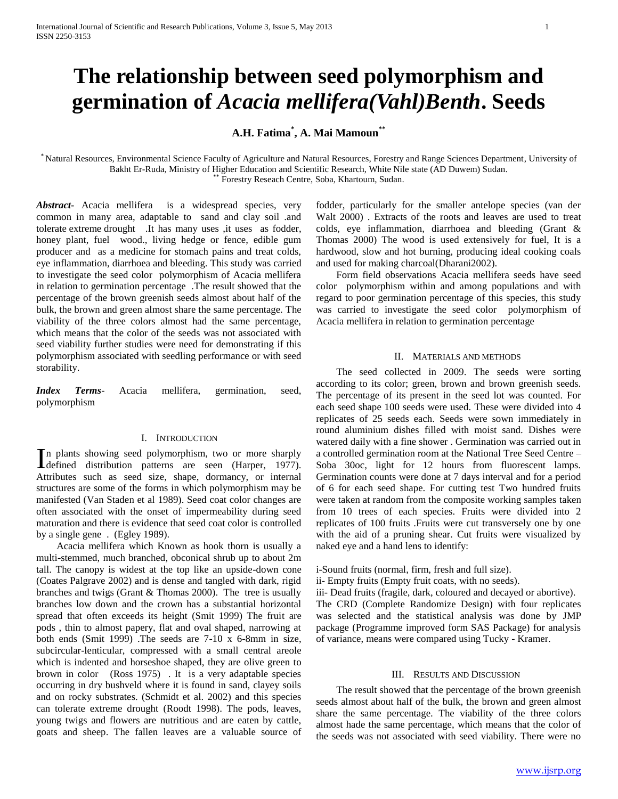# **The relationship between seed polymorphism and germination of** *Acacia mellifera(Vahl)Benth***. Seeds**

# **A.H. Fatima\* , A. Mai Mamoun\*\***

\* Natural Resources, Environmental Science Faculty of Agriculture and Natural Resources, Forestry and Range Sciences Department, University of Bakht Er-Ruda, Ministry of Higher Education and Scientific Research, White Nile state (AD Duwem) Sudan. Forestry Reseach Centre, Soba, Khartoum, Sudan.

*Abstract***-** Acacia mellifera is a widespread species, very common in many area, adaptable to sand and clay soil .and tolerate extreme drought .It has many uses ,it uses as fodder, honey plant, fuel wood., living hedge or fence, edible gum producer and as a medicine for stomach pains and treat colds, eye inflammation, diarrhoea and bleeding. This study was carried to investigate the seed color polymorphism of Acacia mellifera in relation to germination percentage .The result showed that the percentage of the brown greenish seeds almost about half of the bulk, the brown and green almost share the same percentage. The viability of the three colors almost had the same percentage, which means that the color of the seeds was not associated with seed viability further studies were need for demonstrating if this polymorphism associated with seedling performance or with seed storability.

*Index Terms*- Acacia mellifera, germination, seed, polymorphism

# I. INTRODUCTION

n plants showing seed polymorphism, two or more sharply In plants showing seed polymorphism, two or more sharply<br>defined distribution patterns are seen (Harper, 1977). Attributes such as seed size, shape, dormancy, or internal structures are some of the forms in which polymorphism may be manifested (Van Staden et al 1989). Seed coat color changes are often associated with the onset of impermeability during seed maturation and there is evidence that seed coat color is controlled by a single gene . (Egley 1989).

 Acacia mellifera which Known as hook thorn is usually a multi-stemmed, much branched, obconical shrub up to about 2m tall. The canopy is widest at the top like an upside-down cone (Coates Palgrave 2002) and is dense and tangled with dark, rigid branches and twigs (Grant & Thomas 2000). The tree is usually branches low down and the crown has a substantial horizontal spread that often exceeds its height (Smit 1999) The fruit are pods , thin to almost papery, flat and oval shaped, narrowing at both ends (Smit 1999) .The seeds are 7-10 x 6-8mm in size, subcircular-lenticular, compressed with a small central areole which is indented and horseshoe shaped, they are olive green to brown in color (Ross 1975) . It is a very adaptable species occurring in dry bushveld where it is found in sand, clayey soils and on rocky substrates. (Schmidt et al. 2002) and this species can tolerate extreme drought (Roodt 1998). The pods, leaves, young twigs and flowers are nutritious and are eaten by cattle, goats and sheep. The fallen leaves are a valuable source of

fodder, particularly for the smaller antelope species (van der Walt 2000) . Extracts of the roots and leaves are used to treat colds, eye inflammation, diarrhoea and bleeding (Grant & Thomas 2000) The wood is used extensively for fuel, It is a hardwood, slow and hot burning, producing ideal cooking coals and used for making charcoal(Dharani2002).

 Form field observations Acacia mellifera seeds have seed color polymorphism within and among populations and with regard to poor germination percentage of this species, this study was carried to investigate the seed color polymorphism of Acacia mellifera in relation to germination percentage

# II. MATERIALS AND METHODS

 The seed collected in 2009. The seeds were sorting according to its color; green, brown and brown greenish seeds. The percentage of its present in the seed lot was counted. For each seed shape 100 seeds were used. These were divided into 4 replicates of 25 seeds each. Seeds were sown immediately in round aluminium dishes filled with moist sand. Dishes were watered daily with a fine shower . Germination was carried out in a controlled germination room at the National Tree Seed Centre – Soba 30oc, light for 12 hours from fluorescent lamps. Germination counts were done at 7 days interval and for a period of 6 for each seed shape. For cutting test Two hundred fruits were taken at random from the composite working samples taken from 10 trees of each species. Fruits were divided into 2 replicates of 100 fruits .Fruits were cut transversely one by one with the aid of a pruning shear. Cut fruits were visualized by naked eye and a hand lens to identify:

i-Sound fruits (normal, firm, fresh and full size).

ii- Empty fruits (Empty fruit coats, with no seeds).

iii- Dead fruits (fragile, dark, coloured and decayed or abortive). The CRD (Complete Randomize Design) with four replicates was selected and the statistical analysis was done by JMP package (Programme improved form SAS Package) for analysis of variance, means were compared using Tucky - Kramer.

# III. RESULTS AND DISCUSSION

 The result showed that the percentage of the brown greenish seeds almost about half of the bulk, the brown and green almost share the same percentage. The viability of the three colors almost hade the same percentage, which means that the color of the seeds was not associated with seed viability. There were no